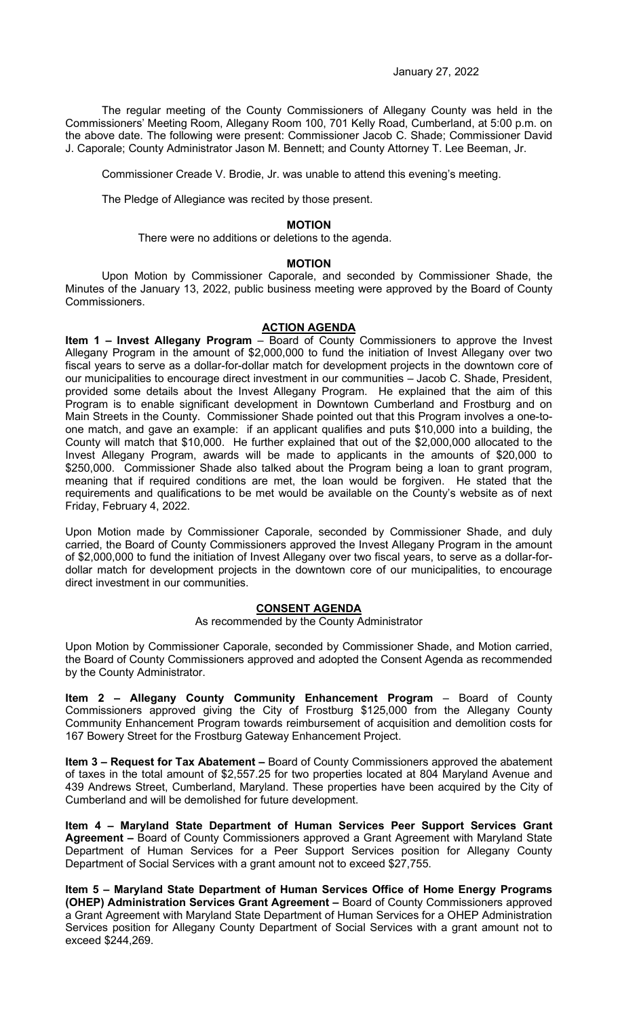The regular meeting of the County Commissioners of Allegany County was held in the Commissioners' Meeting Room, Allegany Room 100, 701 Kelly Road, Cumberland, at 5:00 p.m. on the above date. The following were present: Commissioner Jacob C. Shade; Commissioner David J. Caporale; County Administrator Jason M. Bennett; and County Attorney T. Lee Beeman, Jr.

Commissioner Creade V. Brodie, Jr. was unable to attend this evening's meeting.

The Pledge of Allegiance was recited by those present.

#### **MOTION**

There were no additions or deletions to the agenda.

#### **MOTION**

Upon Motion by Commissioner Caporale, and seconded by Commissioner Shade, the Minutes of the January 13, 2022, public business meeting were approved by the Board of County Commissioners.

# **ACTION AGENDA**

**Item 1 – Invest Allegany Program** – Board of County Commissioners to approve the Invest Allegany Program in the amount of \$2,000,000 to fund the initiation of Invest Allegany over two fiscal years to serve as a dollar-for-dollar match for development projects in the downtown core of our municipalities to encourage direct investment in our communities – Jacob C. Shade, President, provided some details about the Invest Allegany Program. He explained that the aim of this Program is to enable significant development in Downtown Cumberland and Frostburg and on Main Streets in the County. Commissioner Shade pointed out that this Program involves a one-toone match, and gave an example: if an applicant qualifies and puts \$10,000 into a building, the County will match that \$10,000. He further explained that out of the \$2,000,000 allocated to the Invest Allegany Program, awards will be made to applicants in the amounts of \$20,000 to \$250,000. Commissioner Shade also talked about the Program being a loan to grant program, meaning that if required conditions are met, the loan would be forgiven. He stated that the requirements and qualifications to be met would be available on the County's website as of next Friday, February 4, 2022.

Upon Motion made by Commissioner Caporale, seconded by Commissioner Shade, and duly carried, the Board of County Commissioners approved the Invest Allegany Program in the amount of \$2,000,000 to fund the initiation of Invest Allegany over two fiscal years, to serve as a dollar-fordollar match for development projects in the downtown core of our municipalities, to encourage direct investment in our communities.

#### **CONSENT AGENDA**

#### As recommended by the County Administrator

Upon Motion by Commissioner Caporale, seconded by Commissioner Shade, and Motion carried, the Board of County Commissioners approved and adopted the Consent Agenda as recommended by the County Administrator.

**Item 2 – Allegany County Community Enhancement Program** – Board of County Commissioners approved giving the City of Frostburg \$125,000 from the Allegany County Community Enhancement Program towards reimbursement of acquisition and demolition costs for 167 Bowery Street for the Frostburg Gateway Enhancement Project.

**Item 3 – Request for Tax Abatement –** Board of County Commissioners approved the abatement of taxes in the total amount of \$2,557.25 for two properties located at 804 Maryland Avenue and 439 Andrews Street, Cumberland, Maryland. These properties have been acquired by the City of Cumberland and will be demolished for future development.

**Item 4 – Maryland State Department of Human Services Peer Support Services Grant Agreement –** Board of County Commissioners approved a Grant Agreement with Maryland State Department of Human Services for a Peer Support Services position for Allegany County Department of Social Services with a grant amount not to exceed \$27,755.

**Item 5 – Maryland State Department of Human Services Office of Home Energy Programs (OHEP) Administration Services Grant Agreement –** Board of County Commissioners approved a Grant Agreement with Maryland State Department of Human Services for a OHEP Administration Services position for Allegany County Department of Social Services with a grant amount not to exceed \$244,269.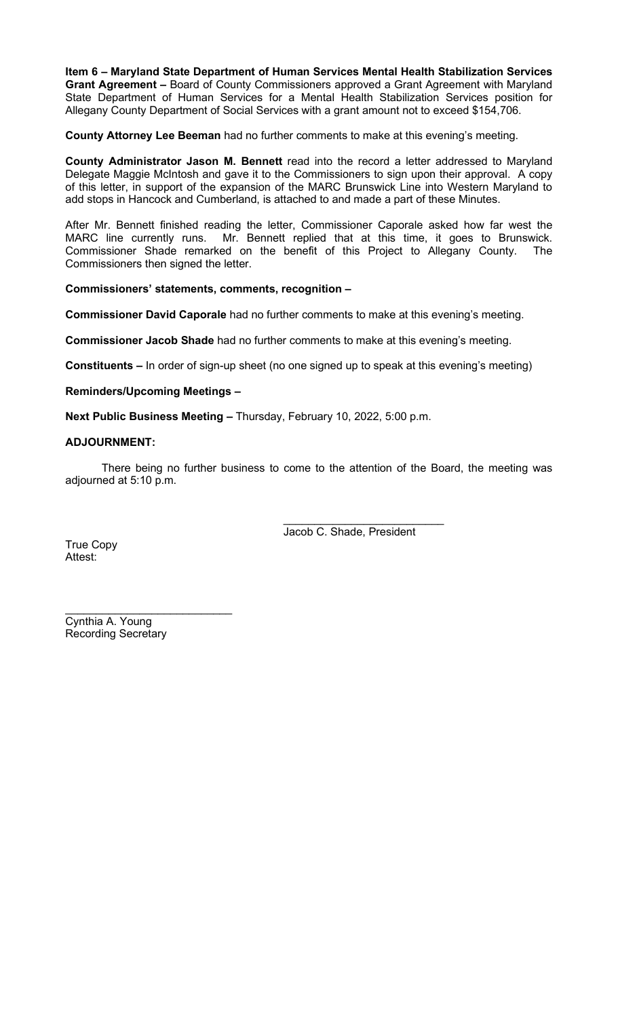**Item 6 – Maryland State Department of Human Services Mental Health Stabilization Services Grant Agreement –** Board of County Commissioners approved a Grant Agreement with Maryland State Department of Human Services for a Mental Health Stabilization Services position for Allegany County Department of Social Services with a grant amount not to exceed \$154,706.

**County Attorney Lee Beeman** had no further comments to make at this evening's meeting.

**County Administrator Jason M. Bennett** read into the record a letter addressed to Maryland Delegate Maggie McIntosh and gave it to the Commissioners to sign upon their approval. A copy of this letter, in support of the expansion of the MARC Brunswick Line into Western Maryland to add stops in Hancock and Cumberland, is attached to and made a part of these Minutes.

After Mr. Bennett finished reading the letter, Commissioner Caporale asked how far west the MARC line currently runs. Mr. Bennett replied that at this time, it goes to Brunswick. Commissioner Shade remarked on the benefit of this Project to Allegany County. The Commissioners then signed the letter.

#### **Commissioners' statements, comments, recognition –**

**Commissioner David Caporale** had no further comments to make at this evening's meeting.

**Commissioner Jacob Shade** had no further comments to make at this evening's meeting.

**Constituents –** In order of sign-up sheet (no one signed up to speak at this evening's meeting)

## **Reminders/Upcoming Meetings –**

**Next Public Business Meeting –** Thursday, February 10, 2022, 5:00 p.m.

## **ADJOURNMENT:**

There being no further business to come to the attention of the Board, the meeting was adjourned at 5:10 p.m.

> $\overline{\phantom{a}}$  , which is a set of the set of the set of the set of the set of the set of the set of the set of the set of the set of the set of the set of the set of the set of the set of the set of the set of the set of th Jacob C. Shade, President

True Copy Attest:

Cynthia A. Young Recording Secretary

 $\overline{\phantom{a}}$  , which is a set of the set of the set of the set of the set of the set of the set of the set of the set of the set of the set of the set of the set of the set of the set of the set of the set of the set of th